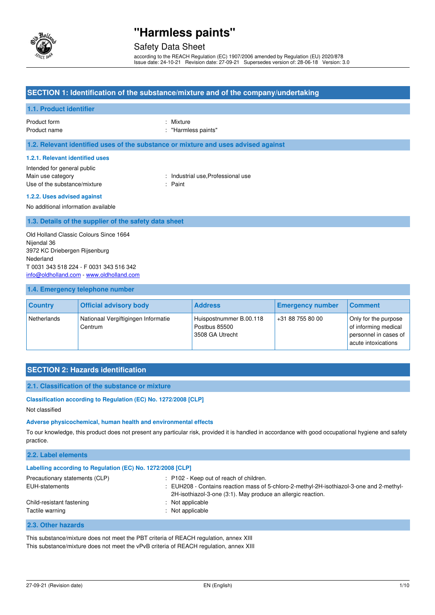

### Safety Data Sheet

according to the REACH Regulation (EC) 1907/2006 amended by Regulation (EU) 2020/878 Issue date: 24-10-21 Revision date: 27-09-21 Supersedes version of: 28-06-18 Version: 3.0

### **SECTION 1: Identification of the substance/mixture and of the company/undertaking**

### **1.1. Product identifier**

Product name  $\qquad \qquad : \qquad$  "Harmless paints"

Product form : Nixture

**1.2. Relevant identified uses of the substance or mixture and uses advised against** 

#### **1.2.1. Relevant identified uses**

Intended for general public Main use category **industrial use, Professional use** Use of the substance/mixture in the substance in the set of the substance in the set of the set of the set of the set of the set of the set of the set of the set of the set of the set of the set of the set of the set of th

#### **1.2.2. Uses advised against**

No additional information available

#### **1.3. Details of the supplier of the safety data sheet**

Old Holland Classic Colours Since 1664 Nijendal 36 3972 KC Driebergen Rijsenburg Nederland T 0031 343 518 224 - F 0031 343 516 342 [info@oldholland.com](mailto:info@oldholland.com) - [www.oldholland.com](http://www.oldholland.com/)

#### **1.4. Emergency telephone number**

| <b>Country</b> | <b>Official advisory body</b>                  | <b>Address</b>                                              | <b>Emergency number</b> | <b>Comment</b>                                                                               |
|----------------|------------------------------------------------|-------------------------------------------------------------|-------------------------|----------------------------------------------------------------------------------------------|
| Netherlands    | Nationaal Vergiftigingen Informatie<br>Centrum | Huispostnummer B.00.118<br>Postbus 85500<br>3508 GA Utrecht | +31 88 755 80 00        | Only for the purpose<br>of informing medical<br>personnel in cases of<br>acute intoxications |

## **SECTION 2: Hazards identification**

#### **2.1. Classification of the substance or mixture**

#### **Classification according to Regulation (EC) No. 1272/2008 [CLP]**

Not classified

#### **Adverse physicochemical, human health and environmental effects**

To our knowledge, this product does not present any particular risk, provided it is handled in accordance with good occupational hygiene and safety practice.

### **2.2. Label elements Labelling according to Regulation (EC) No. 1272/2008 [CLP]**  Precautionary statements (CLP) : P102 - Keep out of reach of children. EUH-statements **in the statements** : EUH208 - Contains reaction mass of 5-chloro-2-methyl-2H-isothiazol-3-one and 2-methyl-2H-isothiazol-3-one (3:1). May produce an allergic reaction. Child-resistant fastening : Not applicable Tactile warning Tactile warning the state of the state of the state of the state of the state of the state of the state of the state of the state of the state of the state of the state of the state of the state of the stat

#### **2.3. Other hazards**

This substance/mixture does not meet the PBT criteria of REACH regulation, annex XIII This substance/mixture does not meet the vPvB criteria of REACH regulation, annex XIII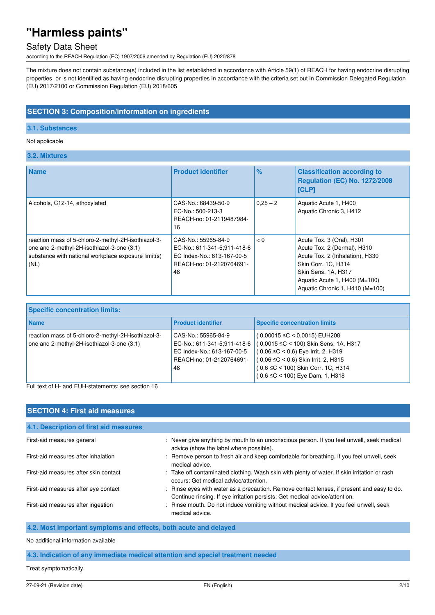## Safety Data Sheet

according to the REACH Regulation (EC) 1907/2006 amended by Regulation (EU) 2020/878

The mixture does not contain substance(s) included in the list established in accordance with Article 59(1) of REACH for having endocrine disrupting properties, or is not identified as having endocrine disrupting properties in accordance with the criteria set out in Commission Delegated Regulation (EU) 2017/2100 or Commission Regulation (EU) 2018/605

### **SECTION 3: Composition/information on ingredients**

#### **3.1. Substances**

#### Not applicable

**3.2. Mixtures** 

| <b>Name</b>                                                                                                                                                      | <b>Product identifier</b>                                                                                          | $\%$       | <b>Classification according to</b><br><b>Regulation (EC) No. 1272/2008</b><br><b>[CLP]</b>                                                                                                                      |
|------------------------------------------------------------------------------------------------------------------------------------------------------------------|--------------------------------------------------------------------------------------------------------------------|------------|-----------------------------------------------------------------------------------------------------------------------------------------------------------------------------------------------------------------|
| Alcohols, C12-14, ethoxylated                                                                                                                                    | CAS-No.: 68439-50-9<br>EC-No.: 500-213-3<br>REACH-no: 01-2119487984-<br>16                                         | $0.25 - 2$ | Aquatic Acute 1, H400<br>Aquatic Chronic 3, H412                                                                                                                                                                |
| reaction mass of 5-chloro-2-methyl-2H-isothiazol-3-<br>one and 2-methyl-2H-isothiazol-3-one (3:1)<br>substance with national workplace exposure limit(s)<br>(NL) | CAS-No.: 55965-84-9<br>EC-No.: 611-341-5:911-418-6<br>EC Index-No.: 613-167-00-5<br>REACH-no: 01-2120764691-<br>48 | < 0        | Acute Tox. 3 (Oral), H301<br>Acute Tox. 2 (Dermal), H310<br>Acute Tox. 2 (Inhalation), H330<br>Skin Corr. 1C, H314<br>Skin Sens. 1A, H317<br>Aquatic Acute 1, $H400$ (M=100)<br>Aquatic Chronic 1, H410 (M=100) |

| <b>Specific concentration limits:</b>                                                             |                                                                                                                    |                                                                                                                                                                                                                                                              |  |  |
|---------------------------------------------------------------------------------------------------|--------------------------------------------------------------------------------------------------------------------|--------------------------------------------------------------------------------------------------------------------------------------------------------------------------------------------------------------------------------------------------------------|--|--|
| <b>Name</b>                                                                                       | <b>Product identifier</b>                                                                                          | <b>Specific concentration limits</b>                                                                                                                                                                                                                         |  |  |
| reaction mass of 5-chloro-2-methyl-2H-isothiazol-3-<br>one and 2-methyl-2H-isothiazol-3-one (3:1) | CAS-No.: 55965-84-9<br>EC-No.: 611-341-5:911-418-6<br>EC Index-No.: 613-167-00-5<br>REACH-no: 01-2120764691-<br>48 | $(0,00015 \leq C < 0,0015)$ EUH208<br>$(0.0015 \leq C$ < 100) Skin Sens. 1A, H317<br>$(0.06 ≤ C < 0.6)$ Eye Irrit. 2, H319<br>$(0.06 \leq C < 0.6)$ Skin Irrit. 2, H315<br>$(0.6 \leq C < 100)$ Skin Corr. 1C, H314<br>$(0.6 \leq C < 100)$ Eye Dam. 1, H318 |  |  |

Full text of H- and EUH-statements: see section 16

| <b>SECTION 4: First aid measures</b>   |                                                                                                                                                                           |  |  |  |
|----------------------------------------|---------------------------------------------------------------------------------------------------------------------------------------------------------------------------|--|--|--|
| 4.1. Description of first aid measures |                                                                                                                                                                           |  |  |  |
| First-aid measures general             | : Never give anything by mouth to an unconscious person. If you feel unwell, seek medical<br>advice (show the label where possible).                                      |  |  |  |
| First-aid measures after inhalation    | : Remove person to fresh air and keep comfortable for breathing. If you feel unwell, seek<br>medical advice.                                                              |  |  |  |
| First-aid measures after skin contact  | : Take off contaminated clothing. Wash skin with plenty of water. If skin irritation or rash<br>occurs: Get medical advice/attention.                                     |  |  |  |
| First-aid measures after eye contact   | : Rinse eyes with water as a precaution. Remove contact lenses, if present and easy to do.<br>Continue rinsing. If eye irritation persists: Get medical advice/attention. |  |  |  |
| First-aid measures after ingestion     | : Rinse mouth. Do not induce vomiting without medical advice. If you feel unwell, seek<br>medical advice.                                                                 |  |  |  |

#### **4.2. Most important symptoms and effects, both acute and delayed**

No additional information available

**4.3. Indication of any immediate medical attention and special treatment needed** 

Treat symptomatically.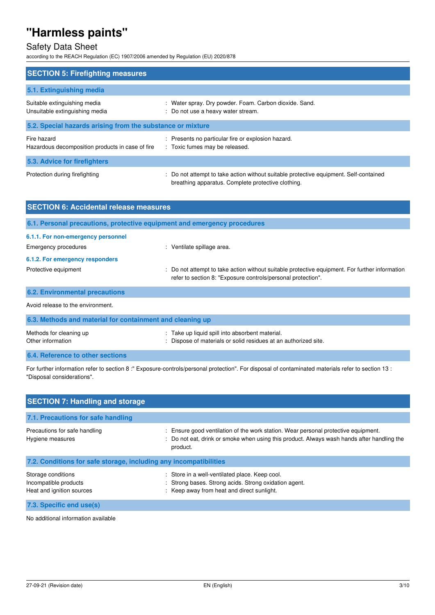## Safety Data Sheet

according to the REACH Regulation (EC) 1907/2006 amended by Regulation (EU) 2020/878

| <b>SECTION 5: Firefighting measures</b>                         |                                                                                                                                             |  |  |  |
|-----------------------------------------------------------------|---------------------------------------------------------------------------------------------------------------------------------------------|--|--|--|
|                                                                 |                                                                                                                                             |  |  |  |
| 5.1. Extinguishing media                                        |                                                                                                                                             |  |  |  |
| Suitable extinguishing media<br>Unsuitable extinguishing media  | : Water spray. Dry powder. Foam. Carbon dioxide. Sand.<br>: Do not use a heavy water stream.                                                |  |  |  |
| 5.2. Special hazards arising from the substance or mixture      |                                                                                                                                             |  |  |  |
| Fire hazard<br>Hazardous decomposition products in case of fire | : Presents no particular fire or explosion hazard.<br>: Toxic fumes may be released.                                                        |  |  |  |
| 5.3. Advice for firefighters                                    |                                                                                                                                             |  |  |  |
| Protection during firefighting                                  | : Do not attempt to take action without suitable protective equipment. Self-contained<br>breathing apparatus. Complete protective clothing. |  |  |  |

| <b>SECTION 6: Accidental release measures</b>                            |                                                                                                                                                              |  |
|--------------------------------------------------------------------------|--------------------------------------------------------------------------------------------------------------------------------------------------------------|--|
| 6.1. Personal precautions, protective equipment and emergency procedures |                                                                                                                                                              |  |
| 6.1.1. For non-emergency personnel                                       |                                                                                                                                                              |  |
| Emergency procedures                                                     | : Ventilate spillage area.                                                                                                                                   |  |
| 6.1.2. For emergency responders                                          |                                                                                                                                                              |  |
| Protective equipment                                                     | Do not attempt to take action without suitable protective equipment. For further information<br>refer to section 8: "Exposure controls/personal protection". |  |
| <b>6.2. Environmental precautions</b>                                    |                                                                                                                                                              |  |
| Avoid release to the environment.                                        |                                                                                                                                                              |  |
| 6.3. Methods and material for containment and cleaning up                |                                                                                                                                                              |  |
| Methods for cleaning up<br>Other information                             | : Take up liquid spill into absorbent material.<br>Dispose of materials or solid residues at an authorized site.                                             |  |

**6.4. Reference to other sections** 

For further information refer to section 8 :" Exposure-controls/personal protection". For disposal of contaminated materials refer to section 13 : "Disposal considerations".

| <b>SECTION 7: Handling and storage</b>                                   |                                                                                                                                                                                              |
|--------------------------------------------------------------------------|----------------------------------------------------------------------------------------------------------------------------------------------------------------------------------------------|
| 7.1. Precautions for safe handling                                       |                                                                                                                                                                                              |
| Precautions for safe handling<br>Hygiene measures                        | : Ensure good ventilation of the work station. Wear personal protective equipment.<br>: Do not eat, drink or smoke when using this product. Always wash hands after handling the<br>product. |
| 7.2. Conditions for safe storage, including any incompatibilities        |                                                                                                                                                                                              |
| Storage conditions<br>Incompatible products<br>Heat and ignition sources | : Store in a well-ventilated place. Keep cool.<br>: Strong bases. Strong acids. Strong oxidation agent.<br>: Keep away from heat and direct sunlight.                                        |
| 7.3. Specific end use(s)                                                 |                                                                                                                                                                                              |

No additional information available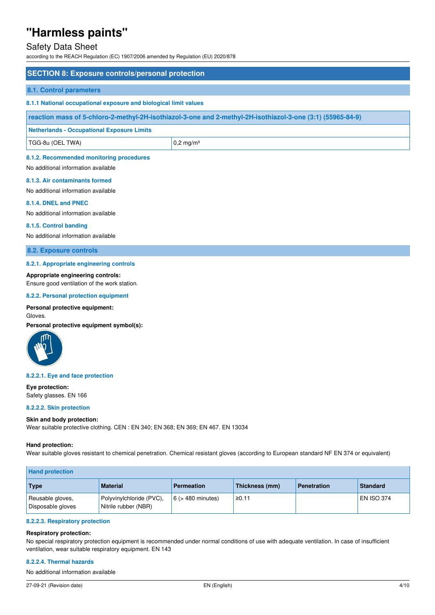### Safety Data Sheet

according to the REACH Regulation (EC) 1907/2006 amended by Regulation (EU) 2020/878

## **SECTION 8: Exposure controls/personal protection 8.1. Control parameters 8.1.1 National occupational exposure and biological limit values reaction mass of 5-chloro-2-methyl-2H-isothiazol-3-one and 2-methyl-2H-isothiazol-3-one (3:1) (55965-84-9) Netherlands - Occupational Exposure Limits**   $TGG-8u$  (OEL TWA)  $\Big| 0, 2 \text{ mg/m}^3$ **8.1.2. Recommended monitoring procedures**  No additional information available

#### **8.1.3. Air contaminants formed**

No additional information available

## **8.1.4. DNEL and PNEC**

No additional information available

#### **8.1.5. Control banding**

No additional information available

**8.2. Exposure controls** 

#### **8.2.1. Appropriate engineering controls**

#### **Appropriate engineering controls:**

Ensure good ventilation of the work station.

#### **8.2.2. Personal protection equipment**

#### **Personal protective equipment:**

Gloves.

**Personal protective equipment symbol(s):** 



#### **8.2.2.1. Eye and face protection**

**Eye protection:**  Safety glasses. EN 166

## **8.2.2.2. Skin protection**

#### **Skin and body protection:**

Wear suitable protective clothing. CEN : EN 340; EN 368; EN 369; EN 467. EN 13034

#### **Hand protection:**

Wear suitable gloves resistant to chemical penetration. Chemical resistant gloves (according to European standard NF EN 374 or equivalent)

| <b>Hand protection</b>                |                                                  |                        |                |                    |                   |
|---------------------------------------|--------------------------------------------------|------------------------|----------------|--------------------|-------------------|
| <b>Type</b>                           | <b>Material</b>                                  | <b>Permeation</b>      | Thickness (mm) | <b>Penetration</b> | <b>Standard</b>   |
| Reusable gloves,<br>Disposable gloves | Polyvinylchloride (PVC),<br>Nitrile rubber (NBR) | $6$ ( $>$ 480 minutes) | ≥0.11          |                    | <b>EN ISO 374</b> |

#### **8.2.2.3. Respiratory protection**

#### **Respiratory protection:**

No special respiratory protection equipment is recommended under normal conditions of use with adequate ventilation. In case of insufficient ventilation, wear suitable respiratory equipment. EN 143

#### **8.2.2.4. Thermal hazards**

No additional information available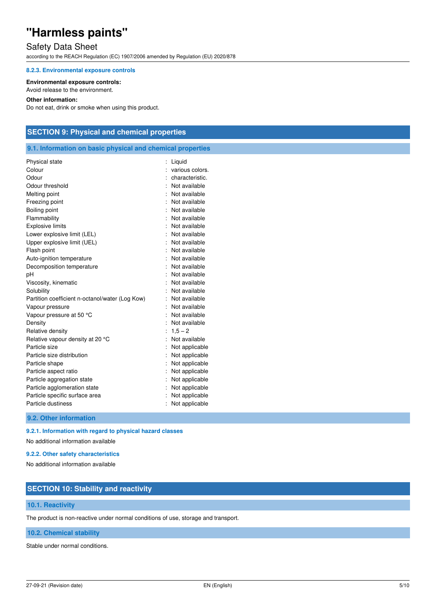## Safety Data Sheet

according to the REACH Regulation (EC) 1907/2006 amended by Regulation (EU) 2020/878

#### **8.2.3. Environmental exposure controls**

#### **Environmental exposure controls:**

Avoid release to the environment.

#### **Other information:**

Do not eat, drink or smoke when using this product.

### **SECTION 9: Physical and chemical properties**

**9.1. Information on basic physical and chemical properties** 

| Physical state                                  | Liquid          |
|-------------------------------------------------|-----------------|
| Colour                                          | various colors. |
| Odour                                           | characteristic. |
| Odour threshold                                 | Not available   |
| Melting point                                   | Not available   |
| Freezing point                                  | Not available   |
| Boiling point                                   | Not available   |
| Flammability                                    | Not available   |
| <b>Explosive limits</b>                         | : Not available |
| Lower explosive limit (LEL)                     | Not available   |
| Upper explosive limit (UEL)                     | Not available   |
| Flash point                                     | : Not available |
| Auto-ignition temperature                       | : Not available |
| Decomposition temperature                       | Not available   |
| pH                                              | Not available   |
| Viscosity, kinematic                            | Not available   |
| Solubility                                      | Not available   |
| Partition coefficient n-octanol/water (Log Kow) | Not available   |
| Vapour pressure                                 | Not available   |
| Vapour pressure at 50 °C                        | Not available   |
| Density                                         | Not available   |
| Relative density                                | $1,5 - 2$       |
| Relative vapour density at 20 °C                | Not available   |
| Particle size                                   | Not applicable  |
| Particle size distribution                      | Not applicable  |
| Particle shape                                  | Not applicable  |
| Particle aspect ratio                           | Not applicable  |
| Particle aggregation state                      | Not applicable  |
| Particle agglomeration state                    | Not applicable  |
| Particle specific surface area                  | Not applicable  |
| Particle dustiness                              | Not applicable  |
|                                                 |                 |

**9.2. Other information** 

**9.2.1. Information with regard to physical hazard classes** 

No additional information available

#### **9.2.2. Other safety characteristics**

No additional information available

### **SECTION 10: Stability and reactivity**

#### **10.1. Reactivity**

The product is non-reactive under normal conditions of use, storage and transport.

### **10.2. Chemical stability**

Stable under normal conditions.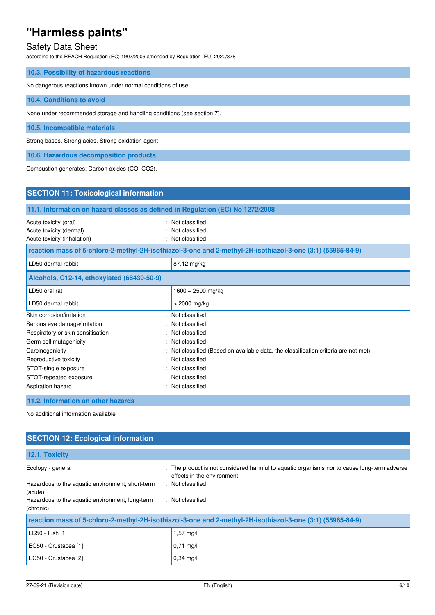## Safety Data Sheet

according to the REACH Regulation (EC) 1907/2006 amended by Regulation (EU) 2020/878

| 10.3. Possibility of hazardous reactions                                |  |  |
|-------------------------------------------------------------------------|--|--|
| No dangerous reactions known under normal conditions of use.            |  |  |
| 10.4. Conditions to avoid                                               |  |  |
| None under recommended storage and handling conditions (see section 7). |  |  |
| 10.5. Incompatible materials                                            |  |  |
| Strong bases. Strong acids. Strong oxidation agent.                     |  |  |
| 10.6. Hazardous decomposition products                                  |  |  |

Combustion generates: Carbon oxides (CO, CO2).

| <b>SECTION 11: Toxicological information</b>                                                                                                                                                                                   |                                                                                                            |
|--------------------------------------------------------------------------------------------------------------------------------------------------------------------------------------------------------------------------------|------------------------------------------------------------------------------------------------------------|
| 11.1. Information on hazard classes as defined in Regulation (EC) No 1272/2008                                                                                                                                                 |                                                                                                            |
| Acute toxicity (oral)<br>Acute toxicity (dermal)<br>Acute toxicity (inhalation)                                                                                                                                                | Not classified<br>Not classified<br>Not classified                                                         |
|                                                                                                                                                                                                                                | reaction mass of 5-chloro-2-methyl-2H-isothiazol-3-one and 2-methyl-2H-isothiazol-3-one (3:1) (55965-84-9) |
| LD50 dermal rabbit                                                                                                                                                                                                             | 87,12 mg/kg                                                                                                |
| Alcohols, C12-14, ethoxylated (68439-50-9)                                                                                                                                                                                     |                                                                                                            |
| LD50 oral rat                                                                                                                                                                                                                  | $1600 - 2500$ mg/kg                                                                                        |
| LD50 dermal rabbit                                                                                                                                                                                                             | > 2000 mg/kg                                                                                               |
| Skin corrosion/irritation                                                                                                                                                                                                      | Not classified                                                                                             |
| Serious eye damage/irritation                                                                                                                                                                                                  | Not classified                                                                                             |
| Respiratory or skin sensitisation                                                                                                                                                                                              | Not classified                                                                                             |
| Germ cell mutagenicity                                                                                                                                                                                                         | Not classified                                                                                             |
| Carcinogenicity                                                                                                                                                                                                                | Not classified (Based on available data, the classification criteria are not met)                          |
| Reproductive toxicity                                                                                                                                                                                                          | Not classified                                                                                             |
| STOT-single exposure                                                                                                                                                                                                           | Not classified                                                                                             |
| STOT-repeated exposure                                                                                                                                                                                                         | Not classified                                                                                             |
| Aspiration hazard                                                                                                                                                                                                              | Not classified                                                                                             |
| 11.2. Information on other hazards                                                                                                                                                                                             |                                                                                                            |
| When the control of the control of the control of the control of the field of the field of the field of the field of the field of the field of the field of the field of the field of the field of the field of the field of t |                                                                                                            |

No additional information available

| <b>SECTION 12: Ecological information</b>                                                                  |                                                                                                                            |  |  |
|------------------------------------------------------------------------------------------------------------|----------------------------------------------------------------------------------------------------------------------------|--|--|
| 12.1. Toxicity                                                                                             |                                                                                                                            |  |  |
| Ecology - general                                                                                          | : The product is not considered harmful to aquatic organisms nor to cause long-term adverse<br>effects in the environment. |  |  |
| Hazardous to the aquatic environment, short-term<br>(acute)                                                | : Not classified                                                                                                           |  |  |
| Hazardous to the aquatic environment, long-term<br>(chronic)                                               | : Not classified                                                                                                           |  |  |
| reaction mass of 5-chloro-2-methyl-2H-isothiazol-3-one and 2-methyl-2H-isothiazol-3-one (3:1) (55965-84-9) |                                                                                                                            |  |  |
| LC50 - Fish [1]                                                                                            | $1,57$ mg/l                                                                                                                |  |  |
| EC50 - Crustacea [1]                                                                                       | $0,71 \text{ mg/l}$                                                                                                        |  |  |
| EC50 - Crustacea [2]                                                                                       | $0.34$ mg/l                                                                                                                |  |  |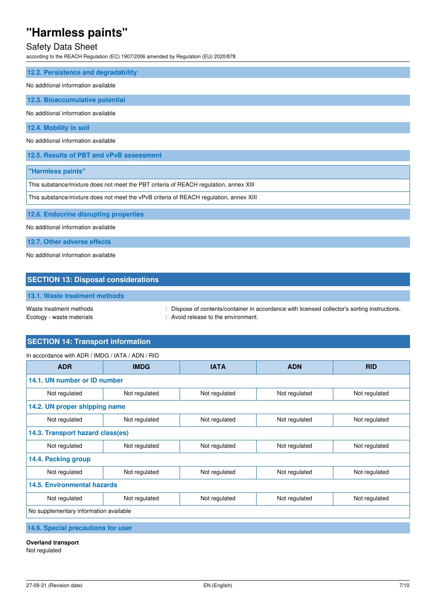## Safety Data Sheet

according to the REACH Regulation (EC) 1907/2006 amended by Regulation (EU) 2020/878

| 12.2. Persistence and degradability                                                    |  |  |
|----------------------------------------------------------------------------------------|--|--|
| No additional information available                                                    |  |  |
| 12.3. Bioaccumulative potential                                                        |  |  |
| No additional information available                                                    |  |  |
|                                                                                        |  |  |
| 12.4. Mobility in soil                                                                 |  |  |
| No additional information available                                                    |  |  |
| 12.5. Results of PBT and vPvB assessment                                               |  |  |
| "Harmless paints"                                                                      |  |  |
| This substance/mixture does not meet the PBT criteria of REACH regulation, annex XIII  |  |  |
| This substance/mixture does not meet the vPvB criteria of REACH regulation, annex XIII |  |  |
|                                                                                        |  |  |
| 12.6. Endocrine disrupting properties                                                  |  |  |
| No additional information available                                                    |  |  |

**12.7. Other adverse effects** 

No additional information available

### **SECTION 13: Disposal considerations**

### **13.1. Waste treatment methods**

Waste treatment methods : Dispose of contents/container in accordance with licensed collector's sorting instructions. Ecology - waste materials **Ecology** - waste materials **interval** and  $\cdot$  Avoid release to the environment.

## **SECTION 14: Transport information**

| <b>ADR</b>                             | <b>IMDG</b>   | <b>IATA</b>   | <b>ADN</b>    | <b>RID</b>    |
|----------------------------------------|---------------|---------------|---------------|---------------|
| 14.1. UN number or ID number           |               |               |               |               |
| Not regulated                          | Not regulated | Not regulated | Not regulated | Not regulated |
| 14.2. UN proper shipping name          |               |               |               |               |
| Not regulated                          | Not regulated | Not regulated | Not regulated | Not regulated |
| 14.3. Transport hazard class(es)       |               |               |               |               |
| Not regulated                          | Not regulated | Not regulated | Not regulated | Not regulated |
| 14.4. Packing group                    |               |               |               |               |
| Not regulated                          | Not regulated | Not regulated | Not regulated | Not regulated |
| <b>14.5. Environmental hazards</b>     |               |               |               |               |
| Not regulated                          | Not regulated | Not regulated | Not regulated | Not regulated |
| No supplementary information available |               |               |               |               |

## **14.6. Special precautions for user**

#### **Overland transport**

Not regulated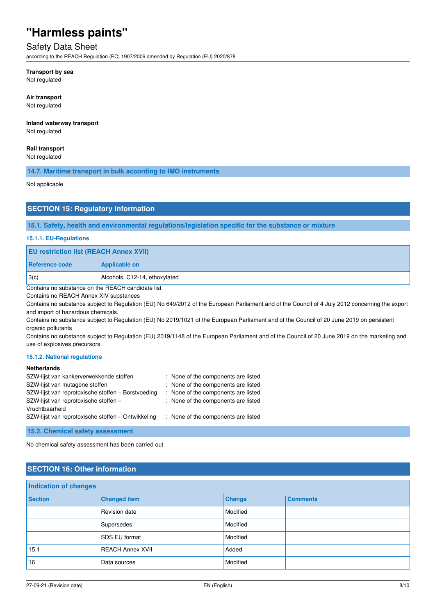## Safety Data Sheet

according to the REACH Regulation (EC) 1907/2006 amended by Regulation (EU) 2020/878

#### **Transport by sea**

Not regulated

#### **Air transport**

Not regulated

### **Inland waterway transport**

Not regulated

#### **Rail transport**

Not regulated

#### **14.7. Maritime transport in bulk according to IMO instruments**

Not applicable

### **SECTION 15: Regulatory information**

#### **15.1. Safety, health and environmental regulations/legislation specific for the substance or mixture**

#### **15.1.1. EU-Regulations**

| <b>EU restriction list (REACH Annex XVII)</b>                       |                               |
|---------------------------------------------------------------------|-------------------------------|
| Reference code                                                      | <b>Applicable on</b>          |
| 3(c)                                                                | Alcohols, C12-14, ethoxylated |
| $\sim$ $\sim$ $\sim$<br>$\cdots$ $\sim$ $\sim$ $\sim$ $\cdots$<br>. |                               |

Contains no substance on the REACH candidate list

Contains no REACH Annex XIV substances

Contains no substance subject to Regulation (EU) No 649/2012 of the European Parliament and of the Council of 4 July 2012 concerning the export and import of hazardous chemicals.

Contains no substance subject to Regulation (EU) No 2019/1021 of the European Parliament and of the Council of 20 June 2019 on persistent organic pollutants

Contains no substance subject to Regulation (EU) 2019/1148 of the European Parliament and of the Council of 20 June 2019 on the marketing and use of explosives precursors.

#### **15.1.2. National regulations**

#### **Netherlands**

| SZW-lijst van kankerverwekkende stoffen            | : None of the components are listed |
|----------------------------------------------------|-------------------------------------|
| SZW-lijst van mutagene stoffen                     | : None of the components are listed |
| SZW-lijst van reprotoxische stoffen - Borstvoeding | : None of the components are listed |
| SZW-lijst van reprotoxische stoffen -              | : None of the components are listed |
| Vruchtbaarheid                                     |                                     |
| SZW-lijst van reprotoxische stoffen - Ontwikkeling | : None of the components are listed |

**15.2. Chemical safety assessment** 

No chemical safety assessment has been carried out

## **SECTION 16: Other information**

| <b>Indication of changes</b> |                         |          |                 |
|------------------------------|-------------------------|----------|-----------------|
| <b>Section</b>               | <b>Changed item</b>     | Change   | <b>Comments</b> |
|                              | Revision date           | Modified |                 |
|                              | Supersedes              | Modified |                 |
|                              | SDS EU format           | Modified |                 |
| 15.1                         | <b>REACH Annex XVII</b> | Added    |                 |
| 16                           | Data sources            | Modified |                 |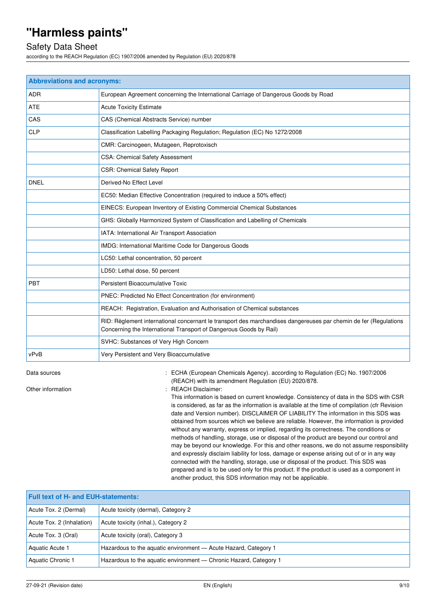### Safety Data Sheet

according to the REACH Regulation (EC) 1907/2006 amended by Regulation (EU) 2020/878

| <b>Abbreviations and acronyms:</b> |                                                                                                                                                                                        |  |
|------------------------------------|----------------------------------------------------------------------------------------------------------------------------------------------------------------------------------------|--|
| <b>ADR</b>                         | European Agreement concerning the International Carriage of Dangerous Goods by Road                                                                                                    |  |
| <b>ATE</b>                         | <b>Acute Toxicity Estimate</b>                                                                                                                                                         |  |
| CAS                                | CAS (Chemical Abstracts Service) number                                                                                                                                                |  |
| <b>CLP</b>                         | Classification Labelling Packaging Regulation; Regulation (EC) No 1272/2008                                                                                                            |  |
|                                    | CMR: Carcinogeen, Mutageen, Reprotoxisch                                                                                                                                               |  |
|                                    | <b>CSA: Chemical Safety Assessment</b>                                                                                                                                                 |  |
|                                    | <b>CSR: Chemical Safety Report</b>                                                                                                                                                     |  |
| <b>DNEL</b>                        | Derived-No Effect Level                                                                                                                                                                |  |
|                                    | EC50: Median Effective Concentration (required to induce a 50% effect)                                                                                                                 |  |
|                                    | EINECS: European Inventory of Existing Commercial Chemical Substances                                                                                                                  |  |
|                                    | GHS: Globally Harmonized System of Classification and Labelling of Chemicals                                                                                                           |  |
|                                    | IATA: International Air Transport Association                                                                                                                                          |  |
|                                    | IMDG: International Maritime Code for Dangerous Goods                                                                                                                                  |  |
|                                    | LC50: Lethal concentration, 50 percent                                                                                                                                                 |  |
|                                    | LD50: Lethal dose, 50 percent                                                                                                                                                          |  |
| <b>PBT</b>                         | Persistent Bioaccumulative Toxic                                                                                                                                                       |  |
|                                    | PNEC: Predicted No Effect Concentration (for environment)                                                                                                                              |  |
|                                    | REACH: Registration, Evaluation and Authorisation of Chemical substances                                                                                                               |  |
|                                    | RID: Règlement international concernant le transport des marchandises dangereuses par chemin de fer (Regulations<br>Concerning the International Transport of Dangerous Goods by Rail) |  |
|                                    | SVHC: Substances of Very High Concern                                                                                                                                                  |  |
| vPvB                               | Very Persistent and Very Bioaccumulative                                                                                                                                               |  |

Data sources **1997/2006** : ECHA (European Chemicals Agency). according to Regulation (EC) No. 1907/2006 (REACH) with its amendment Regulation (EU) 2020/878.

Other information **in the contract of the Contract Contract Contract Contract Contract Contract Contract Contract Contract Contract Contract Contract Contract Contract Contract Contract Contract Contract Contract Contract** 

This information is based on current knowledge. Consistency of data in the SDS with CSR is considered, as far as the information is available at the time of compilation (cfr Revision date and Version number). DISCLAIMER OF LIABILITY The information in this SDS was obtained from sources which we believe are reliable. However, the information is provided without any warranty, express or implied, regarding its correctness. The conditions or methods of handling, storage, use or disposal of the product are beyond our control and may be beyond our knowledge. For this and other reasons, we do not assume responsibility and expressly disclaim liability for loss, damage or expense arising out of or in any way connected with the handling, storage, use or disposal of the product. This SDS was prepared and is to be used only for this product. If the product is used as a component in another product, this SDS information may not be applicable.

| <b>Full text of H- and EUH-statements:</b> |                                                                   |  |
|--------------------------------------------|-------------------------------------------------------------------|--|
| Acute Tox. 2 (Dermal)                      | Acute toxicity (dermal), Category 2                               |  |
| Acute Tox. 2 (Inhalation)                  | Acute toxicity (inhal.), Category 2                               |  |
| Acute Tox. 3 (Oral)                        | Acute toxicity (oral), Category 3                                 |  |
| Aquatic Acute 1                            | Hazardous to the aquatic environment - Acute Hazard, Category 1   |  |
| Aquatic Chronic 1                          | Hazardous to the aquatic environment - Chronic Hazard, Category 1 |  |